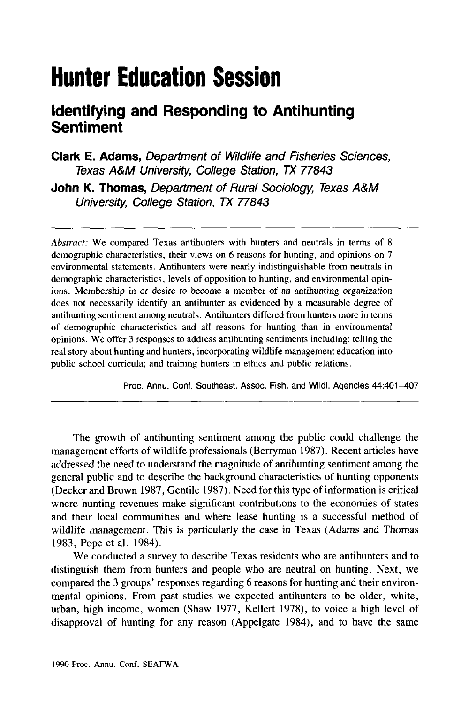# **Hunter Education Session**

# **Identifying and Responding to Antihunting Sentiment**

Clark E. Adams, Department of Wildlife and Fisheries Sciences, Texas A&M University, College Station, TX 77843 John K. Thomas, Department of Rural Sociology, Texas A&M University, College Station, TX 77843

*Abstract:* We compared Texas antihunters with hunters and neutrals in terms of 8 demographic characteristics, their views on 6 reasons for hunting, and opinions on 7 environmental statements. Antihunters were nearly indistinguishable from neutrals in demographic characteristics, levels of opposition to hunting, and environmental opinions. Membership in or desire to become a member of an antihunting organization does not necessarily identify an antihunter as evidenced by a measurable degree of antihunting sentiment among neutrals. Antihunters differed from hunters more in terms of demographic characteristics and all reasons for hunting than in environmental opinions. We offer 3 responses to address antihunting sentiments including: telling the real story about hunting and hunters, incorporating wildlife management education into public school curricula; and training hunters in ethics and public relations.

Proc. Annu. Conf. Southeast. Assoc. Fish. and Wildl. Agencies 44:401-407

The growth of antihunting sentiment among the public could challenge the management efforts of wildlife professionals (Berryman 1987). Recent articles have addressed the need to understand the magnitude of antihunting sentiment among the general public and to describe the background characteristics of hunting opponents (Decker and Brown 1987, Gentile 1987). Need for this type of information is critical where hunting revenues make significant contributions to the economies of states and their local communities and where lease hunting is a successful method of wildlife management. This is particularly the case in Texas (Adams and Thomas 1983, Pope et al. 1984).

We conducted a survey to describe Texas residents who are antihunters and to distinguish them from hunters and people who are neutral on hunting. Next, we compared the 3 groups' responses regarding 6 reasons for hunting and their environmental opinions. From past studies we expected antihunters to be older, white, urban, high income, women (Shaw 1977, Kellert 1978), to voice a high level of disapproval of hunting for any reason (Appelgate 1984), and to have the same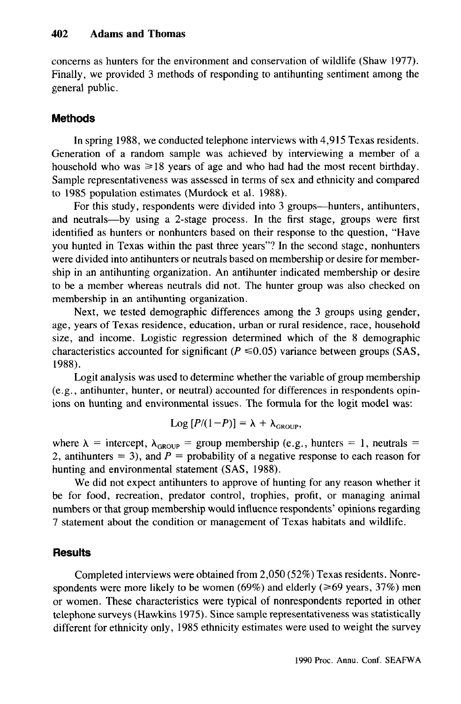concerns as hunters for the environment and conservation of wildlife (Shaw 1977). Finally, we provided 3 methods of responding to antihunting sentiment among the general public.

#### **Methods**

In spring 1988, we conducted telephone interviews with 4,915 Texas residents. Generation of a random sample was achieved by interviewing a member of a household who was  $\geq 18$  years of age and who had had the most recent birthday. Sample representativeness was assessed in terms of sex and ethnicity and compared to 1985 population estimates (Murdock et al. 1988).

For this study, respondents were divided into 3 groups—hunters, antihunters, and neutrals-by using a 2-stage process. In the first stage, groups were first identified as hunters or nonhunters based on their response to the question, "Have you hunted in Texas within the past three years"? In the second stage, nonhunters were divided into antihunters or neutrals based on membership or desire for membership in an antihunting organization. An antihunter indicated membership or desire to be a member whereas neutrals did not. The hunter group was also checked on membership in an antihunting organization.

Next, we tested demographic differences among the 3 groups using gender, age, years of Texas residence, education, urban or rural residence, race, household size, and income. Logistic regression determined which of the 8 demographic characteristics accounted for significant ( $P \le 0.05$ ) variance between groups (SAS, 1988).

Logit analysis was used to determine whether the variable of group membership (e.g., antihunter, hunter, or neutral) accounted for differences in respondents opinions on hunting and environmental issues. The formula for the logit model was:

$$
Log [P/(1-P)] = \lambda + \lambda_{GROUP},
$$

where  $\lambda$  = intercept,  $\lambda_{\text{GROUP}}$  = group membership (e.g., hunters = 1, neutrals = 2, antihunters = 3), and  $P =$  probability of a negative response to each reason for hunting and environmental statement (SAS, 1988).

We did not expect antihunters to approve of hunting for any reason whether it be for food, recreation, predator control, trophies, profit, or managing animal numbers or that group membership would influence respondents' opinions regarding 7 statement about the condition or management of Texas habitats and wildlife.

#### **Results**

Completed interviews were obtained from 2,050 (52%) Texas residents. Nonrespondents were more likely to be women (69%) and elderly ( $\geq 69$  years, 37%) men or women. These characteristics were typical of nonrespondents reported in other telephone surveys (Hawkins 1975). Since sample representativeness was statistically different for ethnicity only, 1985 ethnicity estimates were used to weight the survey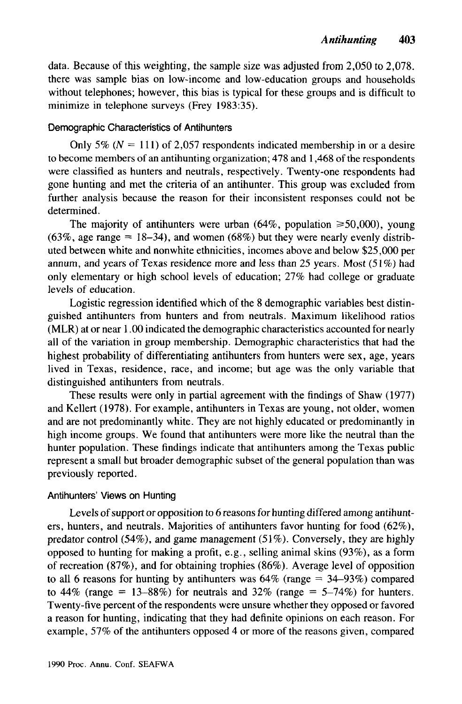data. Because of this weighting, the sample size was adjusted from 2,050 to 2,078. there was sample bias on low-income and low-education groups and households without telephones; however, this bias is typical for these groups and is difficult to minimize in telephone surveys (Frey 1983:35).

#### Demographic Characteristics of Antihunters

Only 5% ( $N = 111$ ) of 2,057 respondents indicated membership in or a desire to become members of an antihunting organization; 478 and 1,468 of the respondents were classified as hunters and neutrals, respectively. Twenty-one respondents had gone hunting and met the criteria of an antihunter. This group was excluded from further analysis because the reason for their inconsistent responses could not be determined.

The majority of antihunters were urban  $(64\%$ , population  $\geq 50,000$ , young  $(63\%$ , age range = 18-34), and women  $(68\%)$  but they were nearly evenly distributed between white and nonwhite ethnicities, incomes above and below \$25,000 per annum, and years of Texas residence more and less than 25 years. Most  $(51\%)$  had only elementary or high school levels of education; 27% had college or graduate levels of education.

Logistic regression identified which of the 8 demographic variables best distinguished antihunters from hunters and from neutrals. Maximum likelihood ratios (MLR) at or near 1.00 indicated the demographic characteristics accounted for nearly all of the variation in group membership. Demographic characteristics that had the highest probability of differentiating antihunters from hunters were sex, age, years lived in Texas, residence, race, and income; but age was the only variable that distinguished antihunters from neutrals.

These results were only in partial agreement with the findings of Shaw (1977) and Kellert (1978). For example, antihunters in Texas are young, not older, women and are not predominantly white. They are not highly educated or predominantly in high income groups. We found that antihunters were more like the neutral than the hunter population. These findings indicate that antihunters among the Texas public represent a small but broader demographic subset of the general population than was previously reported.

## Antihunters' Views on Hunting

Levels of support or opposition to 6 reasons for hunting differed among antihunters, hunters, and neutrals. Majorities of antihunters favor hunting for food (62%), predator control  $(54\%)$ , and game management  $(51\%)$ . Conversely, they are highly opposed to hunting for making a profit, e.g., selling animal skins (93%), as a form of recreation (87%), and for obtaining trophies (86%). Average level of opposition to all 6 reasons for hunting by antihunters was  $64\%$  (range =  $34-93\%$ ) compared to 44% (range = 13–88%) for neutrals and 32% (range =  $5-74\%$ ) for hunters. Twenty-five percent of the respondents were unsure whether they opposed or favored a reason for hunting, indicating that they had definite opinions on each reason. For example, 57% of the antihunters opposed 4 or more of the reasons given, compared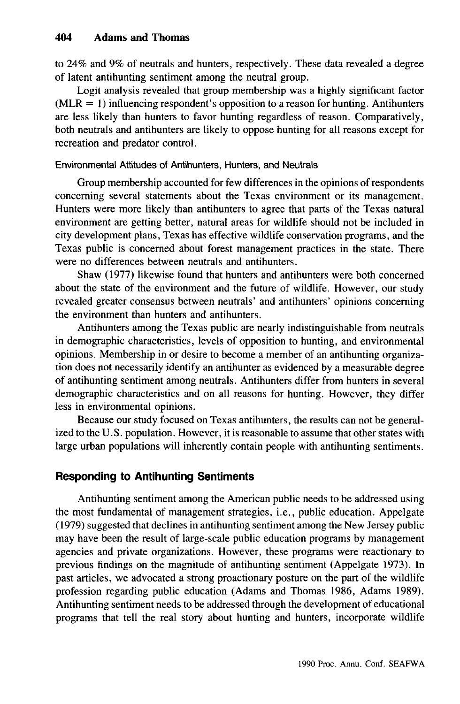to 24% and 9% of neutrals and hunters, respectively. These data revealed a degree of latent antihunting sentiment among the neutral group.

Logit analysis revealed that group membership was a highly significant factor  $(MLR = 1)$  influencing respondent's opposition to a reason for hunting. Antihunters are less likely than hunters to favor hunting regardless of reason. Comparatively, both neutrals and antihunters are likely to oppose hunting for all reasons except for recreation and predator control.

#### Environmental Attitudes of Antihunters, Hunters, and Neutrals

Group membership accounted for few differences in the opinions of respondents concerning several statements about the Texas environment or its management. Hunters were more likely than antihunters to agree that parts of the Texas natural environment are getting better, natural areas for wildlife should not be included in city development plans, Texas has effective wildlife conservation programs, and the Texas public is concerned about forest management practices in the state. There were no differences between neutrals and antihunters.

Shaw (1977) likewise found that hunters and antihunters were both concerned about the state of the environment and the future of wildlife. However, our study revealed greater consensus between neutrals' and antihunters' opinions concerning the environment than hunters and antihunters.

Antihunters among the Texas public are nearly indistinguishable from neutrals in demographic characteristics, levels of opposition to hunting, and environmental opinions. Membership in or desire to become a member of an antihunting organization does not necessarily identify an antihunter as evidenced by a measurable degree of antihunting sentiment among neutrals. Antihunters differ from hunters in several demographic characteristics and on all reasons for hunting. However, they differ less in environmental opinions.

Because our study focused on Texas antihunters, the results can not be generalized to the U.S. population. However, it is reasonable to assume that other states with large urban populations will inherently contain people with antihunting sentiments.

## **Responding to Antihunting Sentiments**

Antihunting sentiment among the American public needs to be addressed using the most fundamental of management strategies, i.e., public education. Appelgate (1979) suggested that declines in antihunting sentiment among the New Jersey public may have been the result of large-scale public education programs by management agencies and private organizations. However, these programs were reactionary to previous findings on the magnitude of antihunting sentiment (Appelgate 1973). In past articles, we advocated a strong proactionary posture on the part of the wildlife profession regarding public education (Adams and Thomas 1986, Adams 1989). Antihunting sentiment needs to be addressed through the development of educational programs that tell the real story about hunting and hunters, incorporate wildlife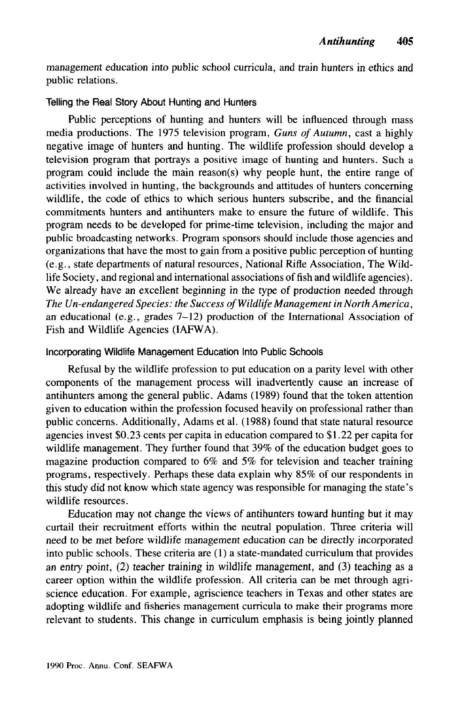management education into public school curricula, and train hunters in ethics and public relations.

#### Telling the Real Story About Hunting and Hunters

Public perceptions of hunting and hunters will be influenced through mass media productions. The 1975 television program, *Guns of Autumn,* cast a highly negative image of hunters and hunting. The wildlife profession should develop a television program that portrays a positive image of hunting and hunters. Such a program could include the main reason(s) why people hunt, the entire range of activities involved in hunting, the backgrounds and attitudes of hunters concerning wildlife, the code of ethics to which serious hunters subscribe, and the financial commitments hunters and antihunters make to ensure the future of wildlife. This program needs to be developed for prime-time television, including the major and public broadcasting networks. Program sponsors should include those agencies and organizations that have the most to gain from a positive public perception of hunting (e.g., state departments of natural resources, National Rifle Association, The Wildlife Society, and regional and international associations of fish and wildlife agencies). We already have an excellent beginning in the type of production needed through *The Un-endangered Species: the Success ofWildlife Management in North America,* an educational (e.g., grades 7-12) production of the International Association of Fish and Wildlife Agencies (IAFWA).

#### Incorporating Wildlife Management Education Into Public Schools

Refusal by the wildlife profession to put education on a parity level with other components of the management process will inadvertently cause an increase of antihunters among the general public. Adams (1989) found that the token attention given to education within the profession focused heavily on professional rather than public concerns. Additionally, Adams et al. (1988) found that state natural resource agencies invest \$0.23 cents per capita in education compared to \$1.22 per capita for wildlife management. They further found that 39% of the education budget goes to magazine production compared to 6% and 5% for television and teacher training programs, respectively. Perhaps these data explain why 85% of our respondents in this study did not know which state agency was responsible for managing the state's wildlife resources.

Education may not change the views of antihunters toward hunting but it may curtail their recruitment efforts within the neutral population. Three criteria will need to be met before wildlife management education can be directly incorporated into public schools. These criteria are (1) a state-mandated curriculum that provides an entry point, (2) teacher training in wildlife management, and (3) teaching as a career option within the wildlife profession. All criteria can be met through agriscience education. For example, agriscience teachers in Texas and other states are adopting wildlife and fisheries management curricula to make their programs more relevant to students. This change in curriculum emphasis is being jointly planned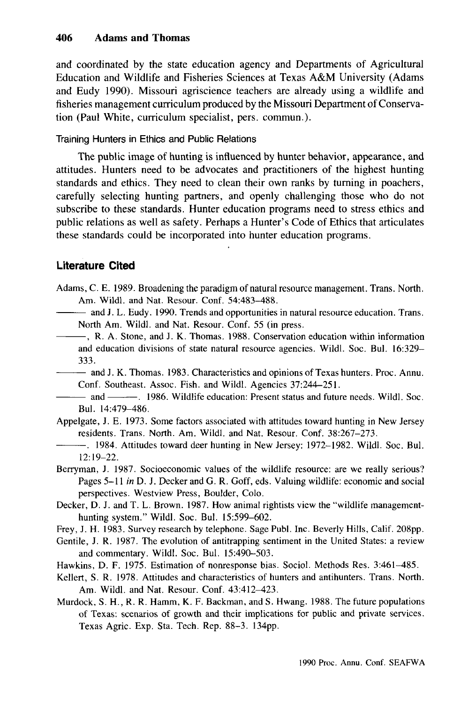and coordinated by the state education agency and Departments of Agricultural Education and Wildlife and Fisheries Sciences at Texas A&M University (Adams and Eudy 1990). Missouri agriscience teachers are already using a wildlife and fisheries management curriculum produced by the Missouri Department of Conservation (Paul White, curriculum specialist, pers. commun.).

Training Hunters in Ethics and Public Relations

The public image of hunting is influenced by hunter behavior, appearance, and attitudes. Hunters need to be advocates and practitioners of the highest hunting standards and ethics. They need to clean their own ranks by turning in poachers, carefully selecting hunting partners, and openly challenging those who do not subscribe to these standards. Hunter education programs need to stress ethics and public relations as well as safety. Perhaps a Hunter's Code of Ethics that articulates these standards could be incorporated into hunter education programs.

# **Literature Cited**

- Adams, C. E. 1989. Broadening the paradigm of natural resource management. Trans. North. Am. Wildl. and Nat. Resour. Conf. 54:483-488.
- $-$  and J. L. Eudy. 1990. Trends and opportunities in natural resource education. Trans. North Am. Wildl. and Nat. Resour. Conf. 55 (in press.
- $-$ , R. A. Stone, and J. K. Thomas. 1988. Conservation education within information and education divisions of state natural resource agencies. Wild!. Soc. Bu!. 16:329- 333.
- $-$  and J. K. Thomas. 1983. Characteristics and opinions of Texas hunters. Proc. Annu. Conf. Southeast. Assoc. Fish. and Wild!. Agencies 37:244-251.
- --- and ---. 1986. Wildlife education: Present status and future needs. Wild!. Soc. Bul. 14:479-486.
- Appelgate, 1. E. 1973. Some factors associated with attitudes toward hunting in New Jersey residents. Trans. North. Am. Wildl. and Nat. Resour. Conf. 38:267-273.
- --. 1984. Attitudes toward deer hunting in New Jersey: 1972-1982. Wildl. Soc. Bul. 12:19-22.
- Berryman, 1. 1987. Socioeconomic values of the wildlife resource: are we really serious? Pages 5-11 *in* D. 1. Decker and G. R. Goff, eds. Valuing wildlife: economic and social perspectives. Westview Press, Boulder, Colo.
- Decker, D. 1. and T. L. Brown. 1987. How animal rightists view the "wildlife managementhunting system." Wildl. Soc. Bul. 15:599-602.
- Frey, 1. H. 1983. Survey research by telephone. Sage Publ. Inc. Beverly Hills, Calif. 208pp.
- Gentile, 1. R. 1987. The evolution of antitrapping sentiment in the United States: a review and commentary. Wildl. Soc. Bul. 15:490-503.
- Hawkins, D. F. 1975. Estimation of nonresponse bias. Sociol. Methods Res. 3:461-485.
- Kellert, S. R. 1978. Attitudes and characteristics of hunters and antihunters. Trans. North. Am. Wildl. and Nat. Resour. Conf. 43:412-423.
- Murdock, S. H., R. R. Hamm, K. F. Backman, and S. Hwang. 1988. The future populations of Texas: scenarios of growth and their implications for public and private services. Texas Agric. Exp. Sta. Tech. Rep. 88-3. I34pp.